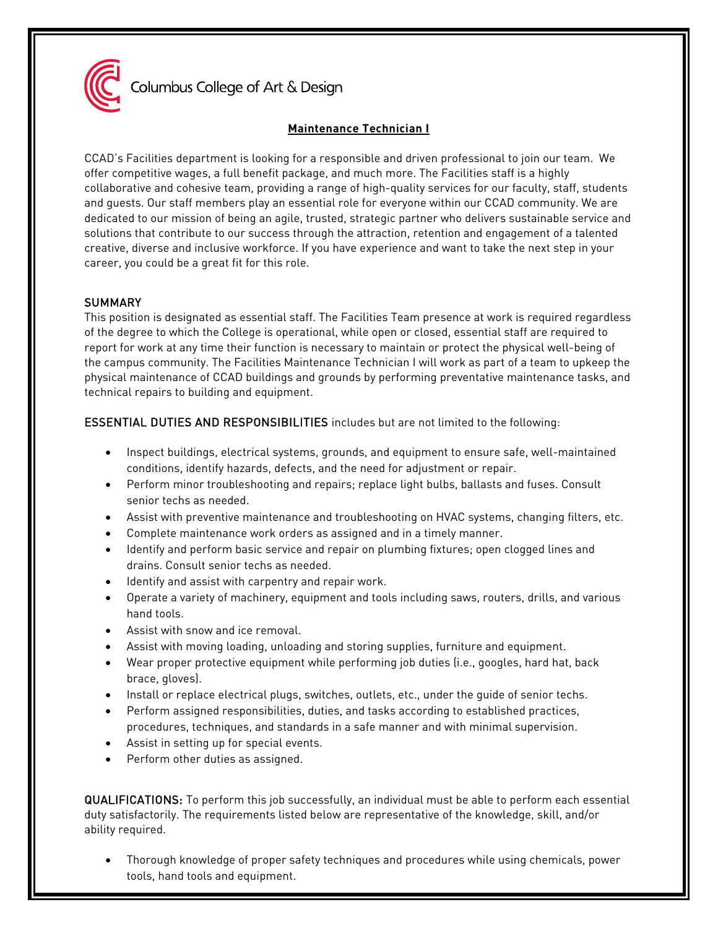

Columbus College of Art & Design

# **Maintenance Technician I**

CCAD's Facilities department is looking for a responsible and driven professional to join our team. We offer competitive wages, a full benefit package, and much more. The Facilities staff is a highly collaborative and cohesive team, providing a range of high-quality services for our faculty, staff, students and guests. Our staff members play an essential role for everyone within our CCAD community. We are dedicated to our mission of being an agile, trusted, strategic partner who delivers sustainable service and solutions that contribute to our success through the attraction, retention and engagement of a talented creative, diverse and inclusive workforce. If you have experience and want to take the next step in your career, you could be a great fit for this role.

## **SUMMARY**

This position is designated as essential staff. The Facilities Team presence at work is required regardless of the degree to which the College is operational, while open or closed, essential staff are required to report for work at any time their function is necessary to maintain or protect the physical well-being of the campus community. The Facilities Maintenance Technician I will work as part of a team to upkeep the physical maintenance of CCAD buildings and grounds by performing preventative maintenance tasks, and technical repairs to building and equipment.

ESSENTIAL DUTIES AND RESPONSIBILITIES includes but are not limited to the following:

- Inspect buildings, electrical systems, grounds, and equipment to ensure safe, well-maintained conditions, identify hazards, defects, and the need for adjustment or repair.
- Perform minor troubleshooting and repairs; replace light bulbs, ballasts and fuses. Consult senior techs as needed.
- Assist with preventive maintenance and troubleshooting on HVAC systems, changing filters, etc.
- Complete maintenance work orders as assigned and in a timely manner.
- Identify and perform basic service and repair on plumbing fixtures; open clogged lines and drains. Consult senior techs as needed.
- Identify and assist with carpentry and repair work.
- Operate a variety of machinery, equipment and tools including saws, routers, drills, and various hand tools.
- Assist with snow and ice removal.
- Assist with moving loading, unloading and storing supplies, furniture and equipment.
- Wear proper protective equipment while performing job duties (i.e., googles, hard hat, back brace, gloves).
- Install or replace electrical plugs, switches, outlets, etc., under the guide of senior techs.
- Perform assigned responsibilities, duties, and tasks according to established practices, procedures, techniques, and standards in a safe manner and with minimal supervision.
- Assist in setting up for special events.
- Perform other duties as assigned.

QUALIFICATIONS: To perform this job successfully, an individual must be able to perform each essential duty satisfactorily. The requirements listed below are representative of the knowledge, skill, and/or ability required.

• Thorough knowledge of proper safety techniques and procedures while using chemicals, power tools, hand tools and equipment.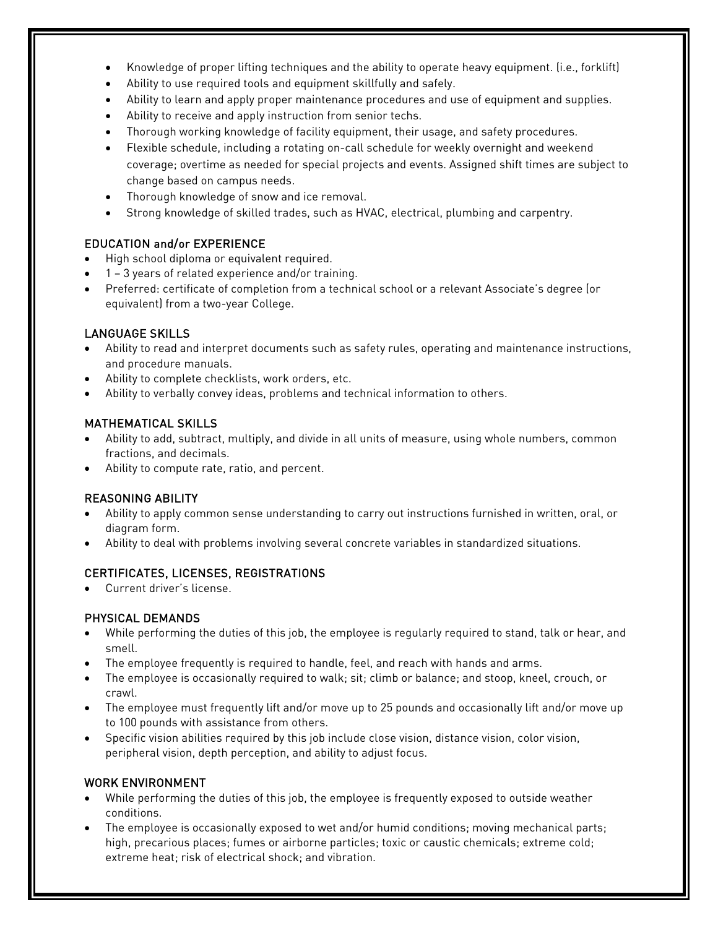- Knowledge of proper lifting techniques and the ability to operate heavy equipment. (i.e., forklift)
- Ability to use required tools and equipment skillfully and safely.
- Ability to learn and apply proper maintenance procedures and use of equipment and supplies.
- Ability to receive and apply instruction from senior techs.
- Thorough working knowledge of facility equipment, their usage, and safety procedures.
- Flexible schedule, including a rotating on-call schedule for weekly overnight and weekend coverage; overtime as needed for special projects and events. Assigned shift times are subject to change based on campus needs.
- Thorough knowledge of snow and ice removal.
- Strong knowledge of skilled trades, such as HVAC, electrical, plumbing and carpentry.

### EDUCATION and/or EXPERIENCE

- High school diploma or equivalent required.
- 1 3 years of related experience and/or training.
- Preferred: certificate of completion from a technical school or a relevant Associate's degree (or equivalent) from a two-year College.

### LANGUAGE SKILLS

- Ability to read and interpret documents such as safety rules, operating and maintenance instructions, and procedure manuals.
- Ability to complete checklists, work orders, etc.
- Ability to verbally convey ideas, problems and technical information to others.

### MATHEMATICAL SKILLS

- Ability to add, subtract, multiply, and divide in all units of measure, using whole numbers, common fractions, and decimals.
- Ability to compute rate, ratio, and percent.

## REASONING ABILITY

- Ability to apply common sense understanding to carry out instructions furnished in written, oral, or diagram form.
- Ability to deal with problems involving several concrete variables in standardized situations.

## CERTIFICATES, LICENSES, REGISTRATIONS

• Current driver's license.

### PHYSICAL DEMANDS

- While performing the duties of this job, the employee is regularly required to stand, talk or hear, and smell.
- The employee frequently is required to handle, feel, and reach with hands and arms.
- The employee is occasionally required to walk; sit; climb or balance; and stoop, kneel, crouch, or crawl.
- The employee must frequently lift and/or move up to 25 pounds and occasionally lift and/or move up to 100 pounds with assistance from others.
- Specific vision abilities required by this job include close vision, distance vision, color vision, peripheral vision, depth perception, and ability to adjust focus.

## WORK ENVIRONMENT

- While performing the duties of this job, the employee is frequently exposed to outside weather conditions.
- The employee is occasionally exposed to wet and/or humid conditions; moving mechanical parts; high, precarious places; fumes or airborne particles; toxic or caustic chemicals; extreme cold; extreme heat; risk of electrical shock; and vibration.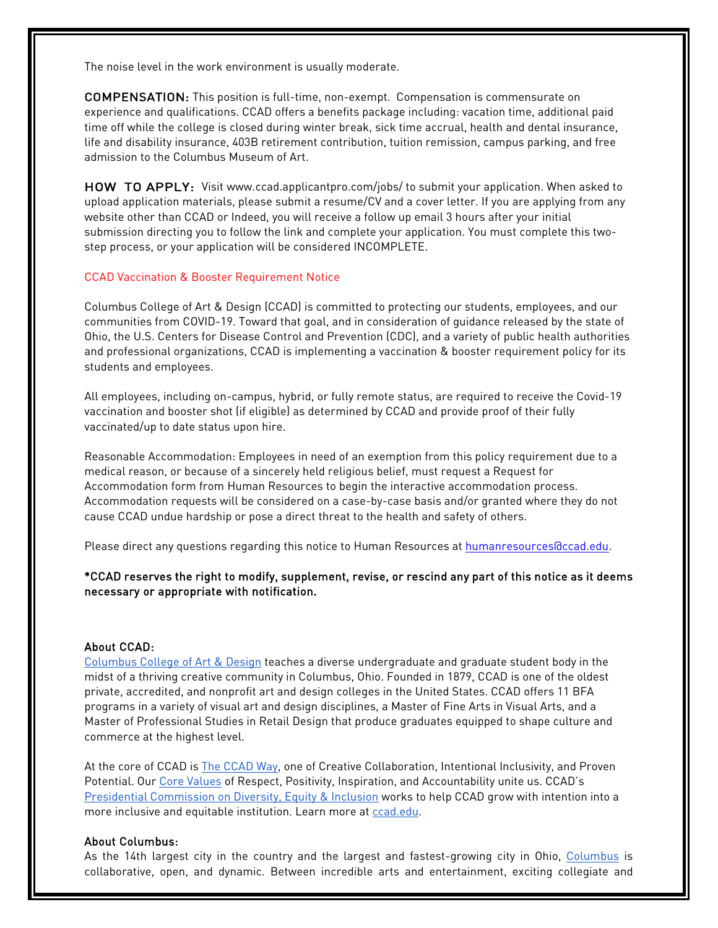The noise level in the work environment is usually moderate.

COMPENSATION: This position is full-time, non-exempt. Compensation is commensurate on experience and qualifications. CCAD offers a benefits package including: vacation time, additional paid time off while the college is closed during winter break, sick time accrual, health and dental insurance, life and disability insurance, 403B retirement contribution, tuition remission, campus parking, and free admission to the Columbus Museum of Art.

HOW TO APPLY: Visit [www.ccad.applicantpro.com/jobs/ t](http://www.ccad.applicantpro.com/jobs/)o submit your application. When asked to upload application materials, please submit a resume/CV and a cover letter. If you are applying from any website other than CCAD or Indeed, you will receive a follow up email 3 hours after your initial submission directing you to follow the link and complete your application. You must complete this twostep process, or your application will be considered INCOMPLETE.

#### CCAD Vaccination & Booster Requirement Notice

Columbus College of Art & Design (CCAD) is committed to protecting our students, employees, and our communities from COVID-19. Toward that goal, and in consideration of guidance released by the state of Ohio, the U.S. Centers for Disease Control and Prevention (CDC), and a variety of public health authorities and professional organizations, CCAD is implementing a vaccination & booster requirement policy for its students and employees.

All employees, including on-campus, hybrid, or fully remote status, are required to receive the Covid-19 vaccination and booster shot (if eligible) as determined by CCAD and provide proof of their fully vaccinated/up to date status upon hire.

Reasonable Accommodation: Employees in need of an exemption from this policy requirement due to a medical reason, or because of a sincerely held religious belief, must request a Request for Accommodation form from Human Resources to begin the interactive accommodation process. Accommodation requests will be considered on a case-by-case basis and/or granted where they do not cause CCAD undue hardship or pose a direct threat to the health and safety of others.

Please direct any questions regarding this notice to Human Resources at humanresources accad.edu.

\*CCAD reserves the right to modify, supplement, revise, or rescind any part of this notice as it deems necessary or appropriate with notification.

#### About CCAD:

[Columbus College of Art & Design](https://www.ccad.edu/) teaches a diverse undergraduate and graduate student body in the midst of a thriving creative community in Columbus, Ohio. Founded in 1879, CCAD is one of the oldest private, accredited, and nonprofit art and design colleges in the United States. CCAD offers 11 BFA programs in a variety of visual art and design disciplines, a Master of Fine Arts in Visual Arts, and a Master of Professional Studies in Retail Design that produce graduates equipped to shape culture and commerce at the highest level.

At the core of CCAD is **The CCAD Way**, one of Creative Collaboration, Intentional Inclusivity, and Proven Potential. Our [Core Values](https://www.ccad.edu/about-us/mission-statement) of Respect, Positivity, Inspiration, and Accountability unite us. CCAD's [Presidential Commission on Diversity, Equity & Inclusion](https://www.ccad.edu/presidential-commission-diversity-equity-inclusion) works to help CCAD grow with intention into a more inclusive and equitable institution. Learn more a[t ccad.edu.](http://ccad.edu/)

#### About Columbus:

As the 14th largest city in the country and the largest and fastest-growing city in Ohio, [Columbus](https://www.experiencecolumbus.com/) is collaborative, open, and dynamic. Between incredible arts and entertainment, exciting collegiate and